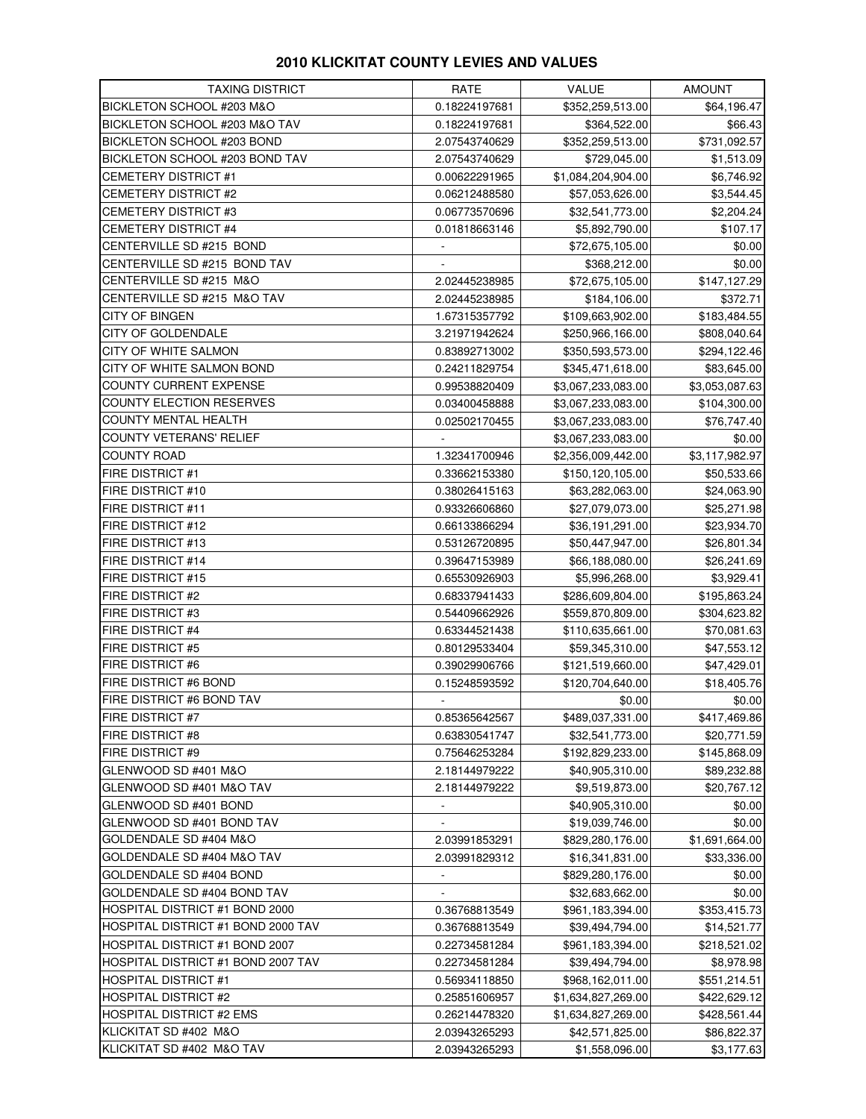## **2010 KLICKITAT COUNTY LEVIES AND VALUES**

| <b>TAXING DISTRICT</b>             | RATE                     | <b>VALUE</b>       | <b>AMOUNT</b>  |
|------------------------------------|--------------------------|--------------------|----------------|
| BICKLETON SCHOOL #203 M&O          | 0.18224197681            | \$352,259,513.00   | \$64,196.47    |
| BICKLETON SCHOOL #203 M&O TAV      | 0.18224197681            | \$364,522.00       | \$66.43        |
| BICKLETON SCHOOL #203 BOND         | 2.07543740629            | \$352,259,513.00   | \$731,092.57   |
| BICKLETON SCHOOL #203 BOND TAV     | 2.07543740629            | \$729,045.00       | \$1,513.09     |
| <b>CEMETERY DISTRICT #1</b>        | 0.00622291965            | \$1,084,204,904.00 | \$6,746.92     |
| <b>CEMETERY DISTRICT #2</b>        | 0.06212488580            | \$57,053,626.00    | \$3,544.45     |
| <b>CEMETERY DISTRICT #3</b>        | 0.06773570696            | \$32,541,773.00    | \$2,204.24     |
| <b>CEMETERY DISTRICT #4</b>        | 0.01818663146            | \$5,892,790.00     | \$107.17       |
| CENTERVILLE SD #215 BOND           |                          | \$72,675,105.00    | \$0.00         |
| CENTERVILLE SD #215 BOND TAV       |                          | \$368,212.00       | \$0.00         |
| CENTERVILLE SD #215 M&O            | 2.02445238985            | \$72,675,105.00    | \$147,127.29   |
| CENTERVILLE SD #215 M&O TAV        | 2.02445238985            | \$184,106.00       | \$372.71       |
| <b>CITY OF BINGEN</b>              | 1.67315357792            | \$109,663,902.00   | \$183,484.55   |
| CITY OF GOLDENDALE                 | 3.21971942624            | \$250,966,166.00   | \$808,040.64   |
| CITY OF WHITE SALMON               | 0.83892713002            | \$350,593,573.00   | \$294,122.46   |
| CITY OF WHITE SALMON BOND          | 0.24211829754            | \$345,471,618.00   | \$83,645.00    |
| COUNTY CURRENT EXPENSE             | 0.99538820409            | \$3,067,233,083.00 | \$3,053,087.63 |
| COUNTY ELECTION RESERVES           | 0.03400458888            | \$3,067,233,083.00 | \$104,300.00   |
| <b>COUNTY MENTAL HEALTH</b>        | 0.02502170455            | \$3,067,233,083.00 | \$76,747.40    |
| <b>COUNTY VETERANS' RELIEF</b>     | $\overline{\phantom{a}}$ | \$3,067,233,083.00 | \$0.00         |
| <b>COUNTY ROAD</b>                 | 1.32341700946            | \$2,356,009,442.00 | \$3,117,982.97 |
| <b>FIRE DISTRICT #1</b>            | 0.33662153380            | \$150,120,105.00   | \$50,533.66    |
| <b>FIRE DISTRICT #10</b>           | 0.38026415163            | \$63,282,063.00    | \$24,063.90    |
| FIRE DISTRICT #11                  | 0.93326606860            | \$27,079,073.00    | \$25,271.98    |
| FIRE DISTRICT #12                  | 0.66133866294            | \$36,191,291.00    | \$23,934.70    |
| <b>FIRE DISTRICT #13</b>           | 0.53126720895            | \$50,447,947.00    | \$26,801.34    |
| <b>FIRE DISTRICT #14</b>           | 0.39647153989            | \$66,188,080.00    | \$26,241.69    |
| <b>FIRE DISTRICT #15</b>           | 0.65530926903            | \$5,996,268.00     | \$3,929.41     |
| <b>FIRE DISTRICT #2</b>            | 0.68337941433            | \$286,609,804.00   | \$195,863.24   |
| <b>FIRE DISTRICT #3</b>            | 0.54409662926            | \$559,870,809.00   | \$304,623.82   |
| <b>FIRE DISTRICT #4</b>            | 0.63344521438            | \$110,635,661.00   | \$70,081.63    |
| FIRE DISTRICT #5                   | 0.80129533404            | \$59,345,310.00    | \$47,553.12    |
| <b>FIRE DISTRICT #6</b>            | 0.39029906766            | \$121,519,660.00   | \$47,429.01    |
| FIRE DISTRICT #6 BOND              | 0.15248593592            | \$120,704,640.00   | \$18,405.76    |
| FIRE DISTRICT #6 BOND TAV          |                          | \$0.00             | \$0.00         |
| FIRE DISTRICT #7                   | 0.85365642567            | \$489,037,331.00   | \$417,469.86   |
| <b>FIRE DISTRICT #8</b>            | 0.63830541747            | \$32,541,773.00    | \$20,771.59    |
| <b>FIRE DISTRICT #9</b>            | 0.75646253284            | \$192,829,233.00   | \$145,868.09   |
| GLENWOOD SD #401 M&O               | 2.18144979222            | \$40,905,310.00    | \$89,232.88    |
| GLENWOOD SD #401 M&O TAV           | 2.18144979222            | \$9,519,873.00     | \$20,767.12    |
| GLENWOOD SD #401 BOND              |                          | \$40,905,310.00    | \$0.00         |
| GLENWOOD SD #401 BOND TAV          |                          | \$19,039,746.00    | \$0.00         |
| GOLDENDALE SD #404 M&O             | 2.03991853291            | \$829,280,176.00   | \$1,691,664.00 |
| GOLDENDALE SD #404 M&O TAV         | 2.03991829312            | \$16,341,831.00    | \$33,336.00    |
| GOLDENDALE SD #404 BOND            | $\overline{\phantom{a}}$ | \$829,280,176.00   | \$0.00         |
| GOLDENDALE SD #404 BOND TAV        |                          | \$32,683,662.00    | \$0.00         |
| HOSPITAL DISTRICT #1 BOND 2000     | 0.36768813549            | \$961,183,394.00   | \$353,415.73   |
| HOSPITAL DISTRICT #1 BOND 2000 TAV | 0.36768813549            | \$39,494,794.00    | \$14,521.77    |
| HOSPITAL DISTRICT #1 BOND 2007     | 0.22734581284            | \$961,183,394.00   | \$218,521.02   |
| HOSPITAL DISTRICT #1 BOND 2007 TAV | 0.22734581284            | \$39,494,794.00    | \$8,978.98     |
| HOSPITAL DISTRICT #1               | 0.56934118850            | \$968,162,011.00   | \$551,214.51   |
| <b>HOSPITAL DISTRICT #2</b>        | 0.25851606957            | \$1,634,827,269.00 | \$422,629.12   |
| <b>HOSPITAL DISTRICT #2 EMS</b>    | 0.26214478320            | \$1,634,827,269.00 | \$428,561.44   |
| KLICKITAT SD #402 M&O              | 2.03943265293            | \$42,571,825.00    | \$86,822.37    |
| KLICKITAT SD #402 M&O TAV          | 2.03943265293            | \$1,558,096.00     | \$3,177.63     |